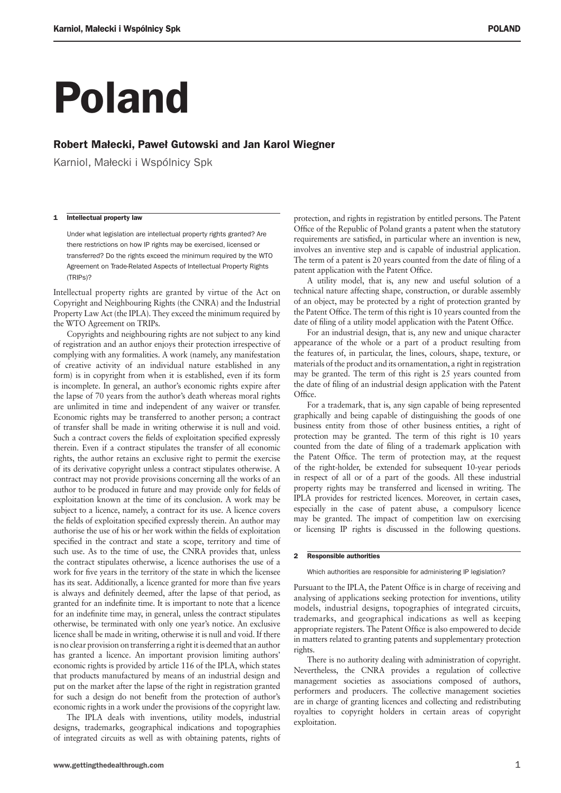# Poland

### Robert Małecki, Paweł Gutowski and Jan Karol Wiegner

Karniol, Małecki i Wspólnicy Spk

#### 1 Intellectual property law

Under what legislation are intellectual property rights granted? Are there restrictions on how IP rights may be exercised, licensed or transferred? Do the rights exceed the minimum required by the WTO Agreement on Trade-Related Aspects of Intellectual Property Rights (TRIPs)?

Intellectual property rights are granted by virtue of the Act on Copyright and Neighbouring Rights (the CNRA) and the Industrial Property Law Act (the IPLA). They exceed the minimum required by the WTO Agreement on TRIPs.

Copyrights and neighbouring rights are not subject to any kind of registration and an author enjoys their protection irrespective of complying with any formalities. A work (namely, any manifestation of creative activity of an individual nature established in any form) is in copyright from when it is established, even if its form is incomplete. In general, an author's economic rights expire after the lapse of 70 years from the author's death whereas moral rights are unlimited in time and independent of any waiver or transfer. Economic rights may be transferred to another person; a contract of transfer shall be made in writing otherwise it is null and void. Such a contract covers the fields of exploitation specified expressly therein. Even if a contract stipulates the transfer of all economic rights, the author retains an exclusive right to permit the exercise of its derivative copyright unless a contract stipulates otherwise. A contract may not provide provisions concerning all the works of an author to be produced in future and may provide only for fields of exploitation known at the time of its conclusion. A work may be subject to a licence, namely, a contract for its use. A licence covers the fields of exploitation specified expressly therein. An author may authorise the use of his or her work within the fields of exploitation specified in the contract and state a scope, territory and time of such use. As to the time of use, the CNRA provides that, unless the contract stipulates otherwise, a licence authorises the use of a work for five years in the territory of the state in which the licensee has its seat. Additionally, a licence granted for more than five years is always and definitely deemed, after the lapse of that period, as granted for an indefinite time. It is important to note that a licence for an indefinite time may, in general, unless the contract stipulates otherwise, be terminated with only one year's notice. An exclusive licence shall be made in writing, otherwise it is null and void. If there is no clear provision on transferring a right it is deemed that an author has granted a licence. An important provision limiting authors' economic rights is provided by article 116 of the IPLA, which states that products manufactured by means of an industrial design and put on the market after the lapse of the right in registration granted for such a design do not benefit from the protection of author's economic rights in a work under the provisions of the copyright law.

The IPLA deals with inventions, utility models, industrial designs, trademarks, geographical indications and topographies of integrated circuits as well as with obtaining patents, rights of protection, and rights in registration by entitled persons. The Patent Office of the Republic of Poland grants a patent when the statutory requirements are satisfied, in particular where an invention is new, involves an inventive step and is capable of industrial application. The term of a patent is 20 years counted from the date of filing of a patent application with the Patent Office.

A utility model, that is, any new and useful solution of a technical nature affecting shape, construction, or durable assembly of an object, may be protected by a right of protection granted by the Patent Office. The term of this right is 10 years counted from the date of filing of a utility model application with the Patent Office.

For an industrial design, that is, any new and unique character appearance of the whole or a part of a product resulting from the features of, in particular, the lines, colours, shape, texture, or materials of the product and its ornamentation, a right in registration may be granted. The term of this right is 25 years counted from the date of filing of an industrial design application with the Patent Office.

For a trademark, that is, any sign capable of being represented graphically and being capable of distinguishing the goods of one business entity from those of other business entities, a right of protection may be granted. The term of this right is 10 years counted from the date of filing of a trademark application with the Patent Office. The term of protection may, at the request of the right-holder, be extended for subsequent 10-year periods in respect of all or of a part of the goods. All these industrial property rights may be transferred and licensed in writing. The IPLA provides for restricted licences. Moreover, in certain cases, especially in the case of patent abuse, a compulsory licence may be granted. The impact of competition law on exercising or licensing IP rights is discussed in the following questions.

#### 2 Responsible authorities

Which authorities are responsible for administering IP legislation?

Pursuant to the IPLA, the Patent Office is in charge of receiving and analysing of applications seeking protection for inventions, utility models, industrial designs, topographies of integrated circuits, trademarks, and geographical indications as well as keeping appropriate registers. The Patent Office is also empowered to decide in matters related to granting patents and supplementary protection rights.

There is no authority dealing with administration of copyright. Nevertheless, the CNRA provides a regulation of collective management societies as associations composed of authors, performers and producers. The collective management societies are in charge of granting licences and collecting and redistributing royalties to copyright holders in certain areas of copyright exploitation.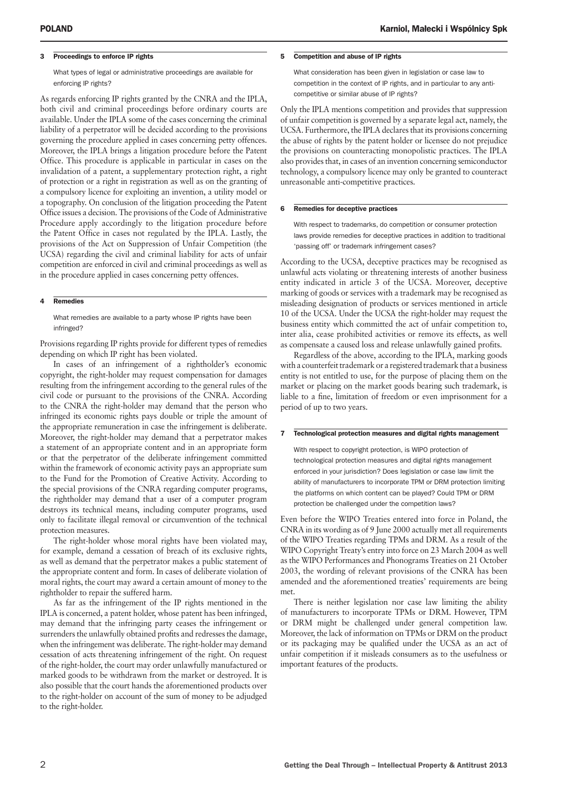#### 3 Proceedings to enforce IP rights

What types of legal or administrative proceedings are available for enforcing IP rights?

As regards enforcing IP rights granted by the CNRA and the IPLA, both civil and criminal proceedings before ordinary courts are available. Under the IPLA some of the cases concerning the criminal liability of a perpetrator will be decided according to the provisions governing the procedure applied in cases concerning petty offences. Moreover, the IPLA brings a litigation procedure before the Patent Office. This procedure is applicable in particular in cases on the invalidation of a patent, a supplementary protection right, a right of protection or a right in registration as well as on the granting of a compulsory licence for exploiting an invention, a utility model or a topography. On conclusion of the litigation proceeding the Patent Office issues a decision. The provisions of the Code of Administrative Procedure apply accordingly to the litigation procedure before the Patent Office in cases not regulated by the IPLA. Lastly, the provisions of the Act on Suppression of Unfair Competition (the UCSA) regarding the civil and criminal liability for acts of unfair competition are enforced in civil and criminal proceedings as well as in the procedure applied in cases concerning petty offences.

#### 4 Remedies

What remedies are available to a party whose IP rights have been infringed?

Provisions regarding IP rights provide for different types of remedies depending on which IP right has been violated.

In cases of an infringement of a rightholder's economic copyright, the right-holder may request compensation for damages resulting from the infringement according to the general rules of the civil code or pursuant to the provisions of the CNRA. According to the CNRA the right-holder may demand that the person who infringed its economic rights pays double or triple the amount of the appropriate remuneration in case the infringement is deliberate. Moreover, the right-holder may demand that a perpetrator makes a statement of an appropriate content and in an appropriate form or that the perpetrator of the deliberate infringement committed within the framework of economic activity pays an appropriate sum to the Fund for the Promotion of Creative Activity. According to the special provisions of the CNRA regarding computer programs, the rightholder may demand that a user of a computer program destroys its technical means, including computer programs, used only to facilitate illegal removal or circumvention of the technical protection measures.

The right-holder whose moral rights have been violated may, for example, demand a cessation of breach of its exclusive rights, as well as demand that the perpetrator makes a public statement of the appropriate content and form. In cases of deliberate violation of moral rights, the court may award a certain amount of money to the rightholder to repair the suffered harm.

As far as the infringement of the IP rights mentioned in the IPLA is concerned, a patent holder, whose patent has been infringed, may demand that the infringing party ceases the infringement or surrenders the unlawfully obtained profits and redresses the damage, when the infringement was deliberate. The right-holder may demand cessation of acts threatening infringement of the right. On request of the right-holder, the court may order unlawfully manufactured or marked goods to be withdrawn from the market or destroyed. It is also possible that the court hands the aforementioned products over to the right-holder on account of the sum of money to be adjudged to the right-holder.

#### 5 Competition and abuse of IP rights

What consideration has been given in legislation or case law to competition in the context of IP rights, and in particular to any anticompetitive or similar abuse of IP rights?

Only the IPLA mentions competition and provides that suppression of unfair competition is governed by a separate legal act, namely, the UCSA. Furthermore, the IPLA declares that its provisions concerning the abuse of rights by the patent holder or licensee do not prejudice the provisions on counteracting monopolistic practices. The IPLA also provides that, in cases of an invention concerning semiconductor technology, a compulsory licence may only be granted to counteract unreasonable anti-competitive practices.

#### 6 Remedies for deceptive practices

With respect to trademarks, do competition or consumer protection laws provide remedies for deceptive practices in addition to traditional 'passing off' or trademark infringement cases?

According to the UCSA, deceptive practices may be recognised as unlawful acts violating or threatening interests of another business entity indicated in article 3 of the UCSA. Moreover, deceptive marking of goods or services with a trademark may be recognised as misleading designation of products or services mentioned in article 10 of the UCSA. Under the UCSA the right-holder may request the business entity which committed the act of unfair competition to, inter alia, cease prohibited activities or remove its effects, as well as compensate a caused loss and release unlawfully gained profits.

Regardless of the above, according to the IPLA, marking goods with a counterfeit trademark or a registered trademark that a business entity is not entitled to use, for the purpose of placing them on the market or placing on the market goods bearing such trademark, is liable to a fine, limitation of freedom or even imprisonment for a period of up to two years.

#### 7 Technological protection measures and digital rights management

With respect to copyright protection, is WIPO protection of technological protection measures and digital rights management enforced in your jurisdiction? Does legislation or case law limit the ability of manufacturers to incorporate TPM or DRM protection limiting the platforms on which content can be played? Could TPM or DRM protection be challenged under the competition laws?

Even before the WIPO Treaties entered into force in Poland, the CNRA in its wording as of 9 June 2000 actually met all requirements of the WIPO Treaties regarding TPMs and DRM. As a result of the WIPO Copyright Treaty's entry into force on 23 March 2004 as well as the WIPO Performances and Phonograms Treaties on 21 October 2003, the wording of relevant provisions of the CNRA has been amended and the aforementioned treaties' requirements are being met.

There is neither legislation nor case law limiting the ability of manufacturers to incorporate TPMs or DRM. However, TPM or DRM might be challenged under general competition law. Moreover, the lack of information on TPMs or DRM on the product or its packaging may be qualified under the UCSA as an act of unfair competition if it misleads consumers as to the usefulness or important features of the products.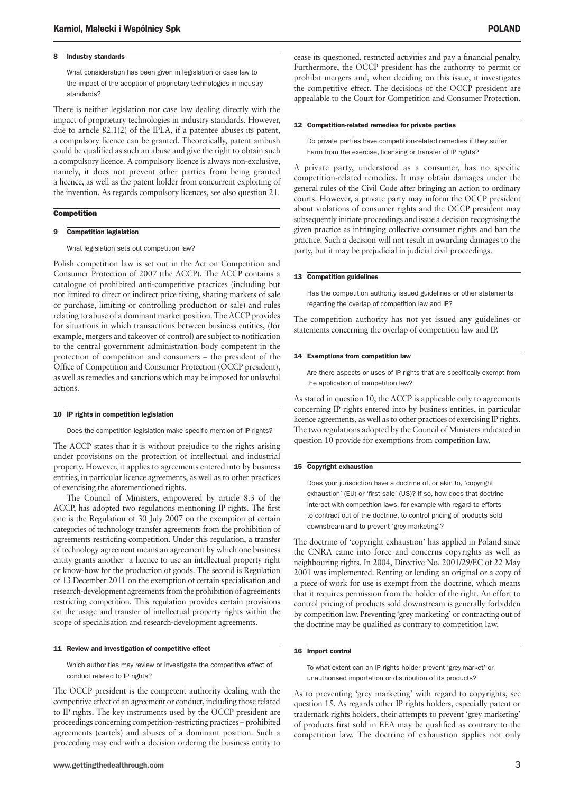#### 8 Industry standards

What consideration has been given in legislation or case law to the impact of the adoption of proprietary technologies in industry standards?

There is neither legislation nor case law dealing directly with the impact of proprietary technologies in industry standards. However, due to article 82.1(2) of the IPLA, if a patentee abuses its patent, a compulsory licence can be granted. Theoretically, patent ambush could be qualified as such an abuse and give the right to obtain such a compulsory licence. A compulsory licence is always non-exclusive, namely, it does not prevent other parties from being granted a licence, as well as the patent holder from concurrent exploiting of the invention. As regards compulsory licences, see also question 21.

#### **Competition**

#### 9 Competition legislation

What legislation sets out competition law?

Polish competition law is set out in the Act on Competition and Consumer Protection of 2007 (the ACCP). The ACCP contains a catalogue of prohibited anti-competitive practices (including but not limited to direct or indirect price fixing, sharing markets of sale or purchase, limiting or controlling production or sale) and rules relating to abuse of a dominant market position. The ACCP provides for situations in which transactions between business entities, (for example, mergers and takeover of control) are subject to notification to the central government administration body competent in the protection of competition and consumers – the president of the Office of Competition and Consumer Protection (OCCP president), as well as remedies and sanctions which may be imposed for unlawful actions.

#### 10 IP rights in competition legislation

Does the competition legislation make specific mention of IP rights?

The ACCP states that it is without prejudice to the rights arising under provisions on the protection of intellectual and industrial property. However, it applies to agreements entered into by business entities, in particular licence agreements, as well as to other practices of exercising the aforementioned rights.

The Council of Ministers, empowered by article 8.3 of the ACCP, has adopted two regulations mentioning IP rights. The first one is the Regulation of 30 July 2007 on the exemption of certain categories of technology transfer agreements from the prohibition of agreements restricting competition. Under this regulation, a transfer of technology agreement means an agreement by which one business entity grants another a licence to use an intellectual property right or know-how for the production of goods. The second is Regulation of 13 December 2011 on the exemption of certain specialisation and research-development agreements from the prohibition of agreements restricting competition. This regulation provides certain provisions on the usage and transfer of intellectual property rights within the scope of specialisation and research-development agreements.

#### 11 Review and investigation of competitive effect

Which authorities may review or investigate the competitive effect of conduct related to IP rights?

The OCCP president is the competent authority dealing with the competitive effect of an agreement or conduct, including those related to IP rights. The key instruments used by the OCCP president are proceedings concerning competition-restricting practices – prohibited agreements (cartels) and abuses of a dominant position. Such a proceeding may end with a decision ordering the business entity to cease its questioned, restricted activities and pay a financial penalty. Furthermore, the OCCP president has the authority to permit or prohibit mergers and, when deciding on this issue, it investigates the competitive effect. The decisions of the OCCP president are appealable to the Court for Competition and Consumer Protection.

#### 12 Competition-related remedies for private parties

Do private parties have competition-related remedies if they suffer harm from the exercise, licensing or transfer of IP rights?

A private party, understood as a consumer, has no specific competition-related remedies. It may obtain damages under the general rules of the Civil Code after bringing an action to ordinary courts. However, a private party may inform the OCCP president about violations of consumer rights and the OCCP president may subsequently initiate proceedings and issue a decision recognising the given practice as infringing collective consumer rights and ban the practice. Such a decision will not result in awarding damages to the party, but it may be prejudicial in judicial civil proceedings.

#### 13 Competition guidelines

Has the competition authority issued guidelines or other statements regarding the overlap of competition law and IP?

The competition authority has not yet issued any guidelines or statements concerning the overlap of competition law and IP.

#### 14 Exemptions from competition law

Are there aspects or uses of IP rights that are specifically exempt from the application of competition law?

As stated in question 10, the ACCP is applicable only to agreements concerning IP rights entered into by business entities, in particular licence agreements, as well as to other practices of exercising IP rights. The two regulations adopted by the Council of Ministers indicated in question 10 provide for exemptions from competition law.

#### 15 Copyright exhaustion

Does your jurisdiction have a doctrine of, or akin to, 'copyright exhaustion' (EU) or 'first sale' (US)? If so, how does that doctrine interact with competition laws, for example with regard to efforts to contract out of the doctrine, to control pricing of products sold downstream and to prevent 'grey marketing'?

The doctrine of 'copyright exhaustion' has applied in Poland since the CNRA came into force and concerns copyrights as well as neighbouring rights. In 2004, Directive No. 2001/29/EC of 22 May 2001 was implemented. Renting or lending an original or a copy of a piece of work for use is exempt from the doctrine, which means that it requires permission from the holder of the right. An effort to control pricing of products sold downstream is generally forbidden by competition law. Preventing 'grey marketing' or contracting out of the doctrine may be qualified as contrary to competition law.

#### 16 Import control

To what extent can an IP rights holder prevent 'grey-market' or unauthorised importation or distribution of its products?

As to preventing 'grey marketing' with regard to copyrights, see question 15. As regards other IP rights holders, especially patent or trademark rights holders, their attempts to prevent 'grey marketing' of products first sold in EEA may be qualified as contrary to the competition law. The doctrine of exhaustion applies not only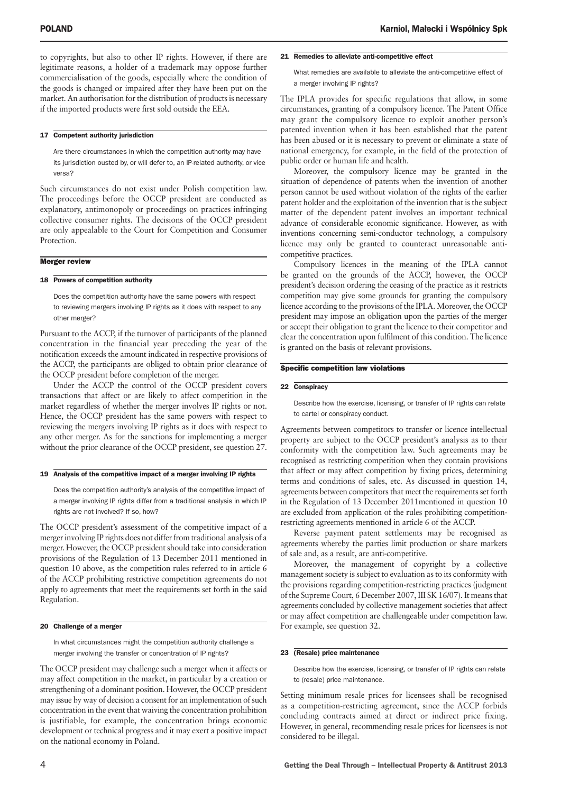to copyrights, but also to other IP rights. However, if there are legitimate reasons, a holder of a trademark may oppose further commercialisation of the goods, especially where the condition of the goods is changed or impaired after they have been put on the market. An authorisation for the distribution of products is necessary if the imported products were first sold outside the EEA.

#### 17 Competent authority jurisdiction

Are there circumstances in which the competition authority may have its jurisdiction ousted by, or will defer to, an IP-related authority, or vice versa?

Such circumstances do not exist under Polish competition law. The proceedings before the OCCP president are conducted as explanatory, antimonopoly or proceedings on practices infringing collective consumer rights. The decisions of the OCCP president are only appealable to the Court for Competition and Consumer Protection.

#### Merger review

#### 18 Powers of competition authority

Does the competition authority have the same powers with respect to reviewing mergers involving IP rights as it does with respect to any other merger?

Pursuant to the ACCP, if the turnover of participants of the planned concentration in the financial year preceding the year of the notification exceeds the amount indicated in respective provisions of the ACCP, the participants are obliged to obtain prior clearance of the OCCP president before completion of the merger.

Under the ACCP the control of the OCCP president covers transactions that affect or are likely to affect competition in the market regardless of whether the merger involves IP rights or not. Hence, the OCCP president has the same powers with respect to reviewing the mergers involving IP rights as it does with respect to any other merger. As for the sanctions for implementing a merger without the prior clearance of the OCCP president, see question 27.

#### 19 Analysis of the competitive impact of a merger involving IP rights

Does the competition authority's analysis of the competitive impact of a merger involving IP rights differ from a traditional analysis in which IP rights are not involved? If so, how?

The OCCP president's assessment of the competitive impact of a merger involving IP rights does not differ from traditional analysis of a merger. However, the OCCP president should take into consideration provisions of the Regulation of 13 December 2011 mentioned in question 10 above, as the competition rules referred to in article 6 of the ACCP prohibiting restrictive competition agreements do not apply to agreements that meet the requirements set forth in the said Regulation.

#### 20 Challenge of a merger

In what circumstances might the competition authority challenge a merger involving the transfer or concentration of IP rights?

The OCCP president may challenge such a merger when it affects or may affect competition in the market, in particular by a creation or strengthening of a dominant position. However, the OCCP president may issue by way of decision a consent for an implementation of such concentration in the event that waiving the concentration prohibition is justifiable, for example, the concentration brings economic development or technical progress and it may exert a positive impact on the national economy in Poland.

#### 21 Remedies to alleviate anti-competitive effect

What remedies are available to alleviate the anti-competitive effect of a merger involving IP rights?

The IPLA provides for specific regulations that allow, in some circumstances, granting of a compulsory licence. The Patent Office may grant the compulsory licence to exploit another person's patented invention when it has been established that the patent has been abused or it is necessary to prevent or eliminate a state of national emergency, for example, in the field of the protection of public order or human life and health.

Moreover, the compulsory licence may be granted in the situation of dependence of patents when the invention of another person cannot be used without violation of the rights of the earlier patent holder and the exploitation of the invention that is the subject matter of the dependent patent involves an important technical advance of considerable economic significance. However, as with inventions concerning semi-conductor technology, a compulsory licence may only be granted to counteract unreasonable anticompetitive practices.

Compulsory licences in the meaning of the IPLA cannot be granted on the grounds of the ACCP, however, the OCCP president's decision ordering the ceasing of the practice as it restricts competition may give some grounds for granting the compulsory licence according to the provisions of the IPLA. Moreover, the OCCP president may impose an obligation upon the parties of the merger or accept their obligation to grant the licence to their competitor and clear the concentration upon fulfilment of this condition. The licence is granted on the basis of relevant provisions.

#### Specific competition law violations

#### 22 Conspiracy

Describe how the exercise, licensing, or transfer of IP rights can relate to cartel or conspiracy conduct.

Agreements between competitors to transfer or licence intellectual property are subject to the OCCP president's analysis as to their conformity with the competition law. Such agreements may be recognised as restricting competition when they contain provisions that affect or may affect competition by fixing prices, determining terms and conditions of sales, etc. As discussed in question 14, agreements between competitors that meet the requirements set forth in the Regulation of 13 December 2011mentioned in question 10 are excluded from application of the rules prohibiting competitionrestricting agreements mentioned in article 6 of the ACCP.

Reverse payment patent settlements may be recognised as agreements whereby the parties limit production or share markets of sale and, as a result, are anti-competitive.

Moreover, the management of copyright by a collective management society is subject to evaluation as to its conformity with the provisions regarding competition-restricting practices (judgment of the Supreme Court, 6 December 2007, III SK 16/07). It means that agreements concluded by collective management societies that affect or may affect competition are challengeable under competition law. For example, see question 32.

#### 23 (Resale) price maintenance

Describe how the exercise, licensing, or transfer of IP rights can relate to (resale) price maintenance.

Setting minimum resale prices for licensees shall be recognised as a competition-restricting agreement, since the ACCP forbids concluding contracts aimed at direct or indirect price fixing. However, in general, recommending resale prices for licensees is not considered to be illegal.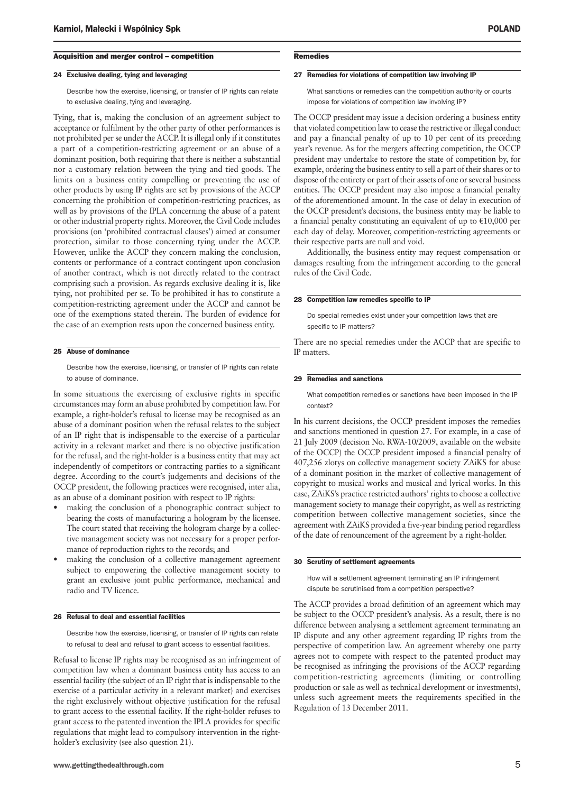#### Acquisition and merger control – competition

#### 24 Exclusive dealing, tying and leveraging

Describe how the exercise, licensing, or transfer of IP rights can relate to exclusive dealing, tying and leveraging.

Tying, that is, making the conclusion of an agreement subject to acceptance or fulfilment by the other party of other performances is not prohibited per se under the ACCP. It is illegal only if it constitutes a part of a competition-restricting agreement or an abuse of a dominant position, both requiring that there is neither a substantial nor a customary relation between the tying and tied goods. The limits on a business entity compelling or preventing the use of other products by using IP rights are set by provisions of the ACCP concerning the prohibition of competition-restricting practices, as well as by provisions of the IPLA concerning the abuse of a patent or other industrial property rights. Moreover, the Civil Code includes provisions (on 'prohibited contractual clauses') aimed at consumer protection, similar to those concerning tying under the ACCP. However, unlike the ACCP they concern making the conclusion, contents or performance of a contract contingent upon conclusion of another contract, which is not directly related to the contract comprising such a provision. As regards exclusive dealing it is, like tying, not prohibited per se. To be prohibited it has to constitute a competition-restricting agreement under the ACCP and cannot be one of the exemptions stated therein. The burden of evidence for the case of an exemption rests upon the concerned business entity.

#### 25 Abuse of dominance

Describe how the exercise, licensing, or transfer of IP rights can relate to abuse of dominance.

In some situations the exercising of exclusive rights in specific circumstances may form an abuse prohibited by competition law. For example, a right-holder's refusal to license may be recognised as an abuse of a dominant position when the refusal relates to the subject of an IP right that is indispensable to the exercise of a particular activity in a relevant market and there is no objective justification for the refusal, and the right-holder is a business entity that may act independently of competitors or contracting parties to a significant degree. According to the court's judgements and decisions of the OCCP president, the following practices were recognised, inter alia, as an abuse of a dominant position with respect to IP rights:

- making the conclusion of a phonographic contract subject to bearing the costs of manufacturing a hologram by the licensee. The court stated that receiving the hologram charge by a collective management society was not necessary for a proper performance of reproduction rights to the records; and
- making the conclusion of a collective management agreement subject to empowering the collective management society to grant an exclusive joint public performance, mechanical and radio and TV licence.

#### 26 Refusal to deal and essential facilities

Describe how the exercise, licensing, or transfer of IP rights can relate to refusal to deal and refusal to grant access to essential facilities.

Refusal to license IP rights may be recognised as an infringement of competition law when a dominant business entity has access to an essential facility (the subject of an IP right that is indispensable to the exercise of a particular activity in a relevant market) and exercises the right exclusively without objective justification for the refusal to grant access to the essential facility. If the right-holder refuses to grant access to the patented invention the IPLA provides for specific regulations that might lead to compulsory intervention in the rightholder's exclusivity (see also question 21).

#### **Remedies**

#### 27 Remedies for violations of competition law involving IP

What sanctions or remedies can the competition authority or courts impose for violations of competition law involving IP?

The OCCP president may issue a decision ordering a business entity that violated competition law to cease the restrictive or illegal conduct and pay a financial penalty of up to 10 per cent of its preceding year's revenue. As for the mergers affecting competition, the OCCP president may undertake to restore the state of competition by, for example, ordering the business entity to sell a part of their shares or to dispose of the entirety or part of their assets of one or several business entities. The OCCP president may also impose a financial penalty of the aforementioned amount. In the case of delay in execution of the OCCP president's decisions, the business entity may be liable to a financial penalty constituting an equivalent of up to  $€10,000$  per each day of delay. Moreover, competition-restricting agreements or their respective parts are null and void.

Additionally, the business entity may request compensation or damages resulting from the infringement according to the general rules of the Civil Code.

#### 28 Competition law remedies specific to IP

Do special remedies exist under your competition laws that are specific to IP matters?

There are no special remedies under the ACCP that are specific to IP matters.

#### 29 Remedies and sanctions

What competition remedies or sanctions have been imposed in the IP context?

In his current decisions, the OCCP president imposes the remedies and sanctions mentioned in question 27. For example, in a case of 21 July 2009 (decision No. RWA-10/2009, available on the website of the OCCP) the OCCP president imposed a financial penalty of 407,256 zlotys on collective management society ZAiKS for abuse of a dominant position in the market of collective management of copyright to musical works and musical and lyrical works. In this case, ZAiKS's practice restricted authors' rights to choose a collective management society to manage their copyright, as well as restricting competition between collective management societies, since the agreement with ZAiKS provided a five-year binding period regardless of the date of renouncement of the agreement by a right-holder.

#### 30 Scrutiny of settlement agreements

How will a settlement agreement terminating an IP infringement dispute be scrutinised from a competition perspective?

The ACCP provides a broad definition of an agreement which may be subject to the OCCP president's analysis. As a result, there is no difference between analysing a settlement agreement terminating an IP dispute and any other agreement regarding IP rights from the perspective of competition law. An agreement whereby one party agrees not to compete with respect to the patented product may be recognised as infringing the provisions of the ACCP regarding competition-restricting agreements (limiting or controlling production or sale as well as technical development or investments), unless such agreement meets the requirements specified in the Regulation of 13 December 2011.